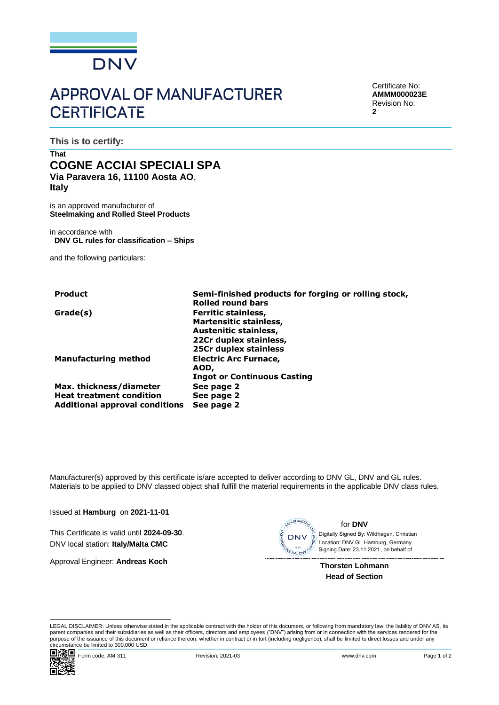

# **APPROVAL OF MANUFACTURER CERTIFICATE**

Certificate No: **AMMM000023E** Revision No: **2**

**This is to certify:**

## **That COGNE ACCIAI SPECIALI SPA Via Paravera 16, 11100 Aosta AO**, **Italy**

is an approved manufacturer of **Steelmaking and Rolled Steel Products**

in accordance with **DNV GL rules for classification – Ships**

and the following particulars:

| <b>Product</b>                                             | Semi-finished products for forging or rolling stock,<br><b>Rolled round bars</b>     |
|------------------------------------------------------------|--------------------------------------------------------------------------------------|
| Grade(s)                                                   | <b>Ferritic stainless,</b><br><b>Martensitic stainless,</b><br>Austenitic stainless, |
|                                                            | 22Cr duplex stainless,<br>25Cr duplex stainless                                      |
| <b>Manufacturing method</b>                                | <b>Electric Arc Furnace,</b><br>AOD,                                                 |
|                                                            | <b>Ingot or Continuous Casting</b>                                                   |
| Max. thickness/diameter<br><b>Heat treatment condition</b> | See page 2                                                                           |
| <b>Additional approval conditions</b>                      | See page 2<br>See page 2                                                             |

Manufacturer(s) approved by this certificate is/are accepted to deliver according to DNV GL, DNV and GL rules. Materials to be applied to DNV classed object shall fulfill the material requirements in the applicable DNV class rules.

Issued at **Hamburg** on **2021-11-01**

This Certificate is valid until **2024-09-30**. DNV local station: **Italy/Malta CMC**

Approval Engineer: **Andreas Koch**



for **DNV**

 Signing Date: 23.11.2021 , on behalf ofDigitally Signed By: Wildhagen, Christian Location: DNV GL Hamburg, Germany

**Thorsten Lohmann Head of Section**

LEGAL DISCLAIMER: Unless otherwise stated in the applicable contract with the holder of this document, or following from mandatory law, the liability of DNV AS, its parent companies and their subsidiaries as well as their officers, directors and employees ("DNV") arising from or in connection with the services rendered for the purpose of the issuance of this document or reliance thereon, whether in contract or in tort (including negligence), shall be limited to direct losses and under any circumstance be limited to 300,000 USD.